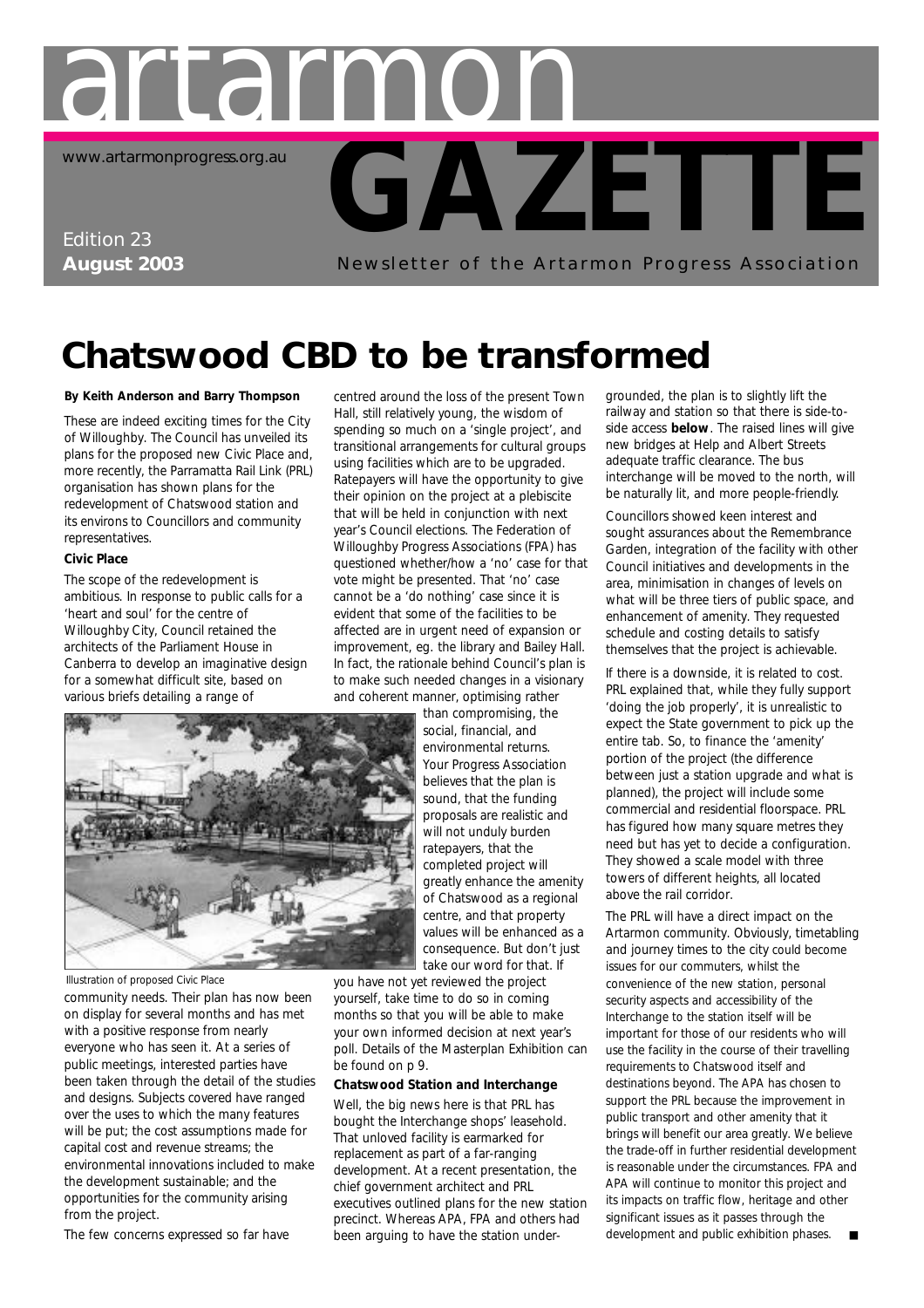

## **Chatswood CBD to be transformed**

#### **By Keith Anderson and Barry Thompson**

These are indeed exciting times for the City of Willoughby. The Council has unveiled its plans for the proposed new Civic Place and, more recently, the Parramatta Rail Link (PRL) organisation has shown plans for the redevelopment of Chatswood station and its environs to Councillors and community representatives.

#### **Civic Place**

The scope of the redevelopment is ambitious. In response to public calls for a 'heart and soul' for the centre of Willoughby City, Council retained the architects of the Parliament House in Canberra to develop an imaginative design for a somewhat difficult site, based on various briefs detailing a range of

centred around the loss of the present Town Hall, still relatively young, the wisdom of spending so much on a 'single project', and transitional arrangements for cultural groups using facilities which are to be upgraded. Ratepayers will have the opportunity to give their opinion on the project at a plebiscite that will be held in conjunction with next year's Council elections. The Federation of Willoughby Progress Associations (FPA) has questioned whether/how a 'no' case for that vote might be presented. That 'no' case cannot be a 'do nothing' case since it is evident that some of the facilities to be affected are in urgent need of expansion or improvement, eg. the library and Bailey Hall. In fact, the rationale behind Council's plan is to make such needed changes in a visionary and coherent manner, optimising rather



*Illustration of proposed Civic Place*

community needs. Their plan has now been on display for several months and has met with a positive response from nearly everyone who has seen it. At a series of public meetings, interested parties have been taken through the detail of the studies and designs. Subjects covered have ranged over the uses to which the many features will be put; the cost assumptions made for capital cost and revenue streams; the environmental innovations included to make the development sustainable; and the opportunities for the community arising from the project.

The few concerns expressed so far have

than compromising, the social, financial, and environmental returns. Your Progress Association believes that the plan is sound, that the funding proposals are realistic and will not unduly burden ratepayers, that the completed project will greatly enhance the amenity of Chatswood as a regional centre, and that property values will be enhanced as a consequence. But don't just take our word for that. If

you have not yet reviewed the project yourself, take time to do so in coming months so that you will be able to make your own informed decision at next year's poll. Details of the Masterplan Exhibition can be found on p 9.

#### **Chatswood Station and Interchange**

Well, the big news here is that PRL has bought the Interchange shops' leasehold. That unloved facility is earmarked for replacement as part of a far-ranging development. At a recent presentation, the chief government architect and PRL executives outlined plans for the new station precinct. Whereas APA, FPA and others had been arguing to have the station undergrounded, the plan is to slightly lift the railway and station so that there is side-toside access **below**. The raised lines will give new bridges at Help and Albert Streets adequate traffic clearance. The bus interchange will be moved to the north, will be naturally lit, and more people-friendly.

Councillors showed keen interest and sought assurances about the Remembrance Garden, integration of the facility with other Council initiatives and developments in the area, minimisation in changes of levels on what will be three tiers of public space, and enhancement of amenity. They requested schedule and costing details to satisfy themselves that the project is achievable.

If there is a downside, it is related to cost. PRL explained that, while they fully support 'doing the job properly', it is unrealistic to expect the State government to pick up the entire tab. So, to finance the 'amenity' portion of the project (the difference between just a station upgrade and what is planned), the project will include some commercial and residential floorspace. PRL has figured how many square metres they need but has yet to decide a configuration. They showed a scale model with three towers of different heights, all located above the rail corridor.

The PRL will have a direct impact on the Artarmon community. Obviously, timetabling and journey times to the city could become issues for our commuters, whilst the convenience of the new station, personal security aspects and accessibility of the Interchange to the station itself will be important for those of our residents who will use the facility in the course of their travelling requirements to Chatswood itself and destinations beyond. The APA has chosen to support the PRL because the improvement in public transport and other amenity that it brings will benefit our area greatly. We believe the trade-off in further residential development is reasonable under the circumstances. FPA and APA will continue to monitor this project and its impacts on traffic flow, heritage and other significant issues as it passes through the development and public exhibition phases.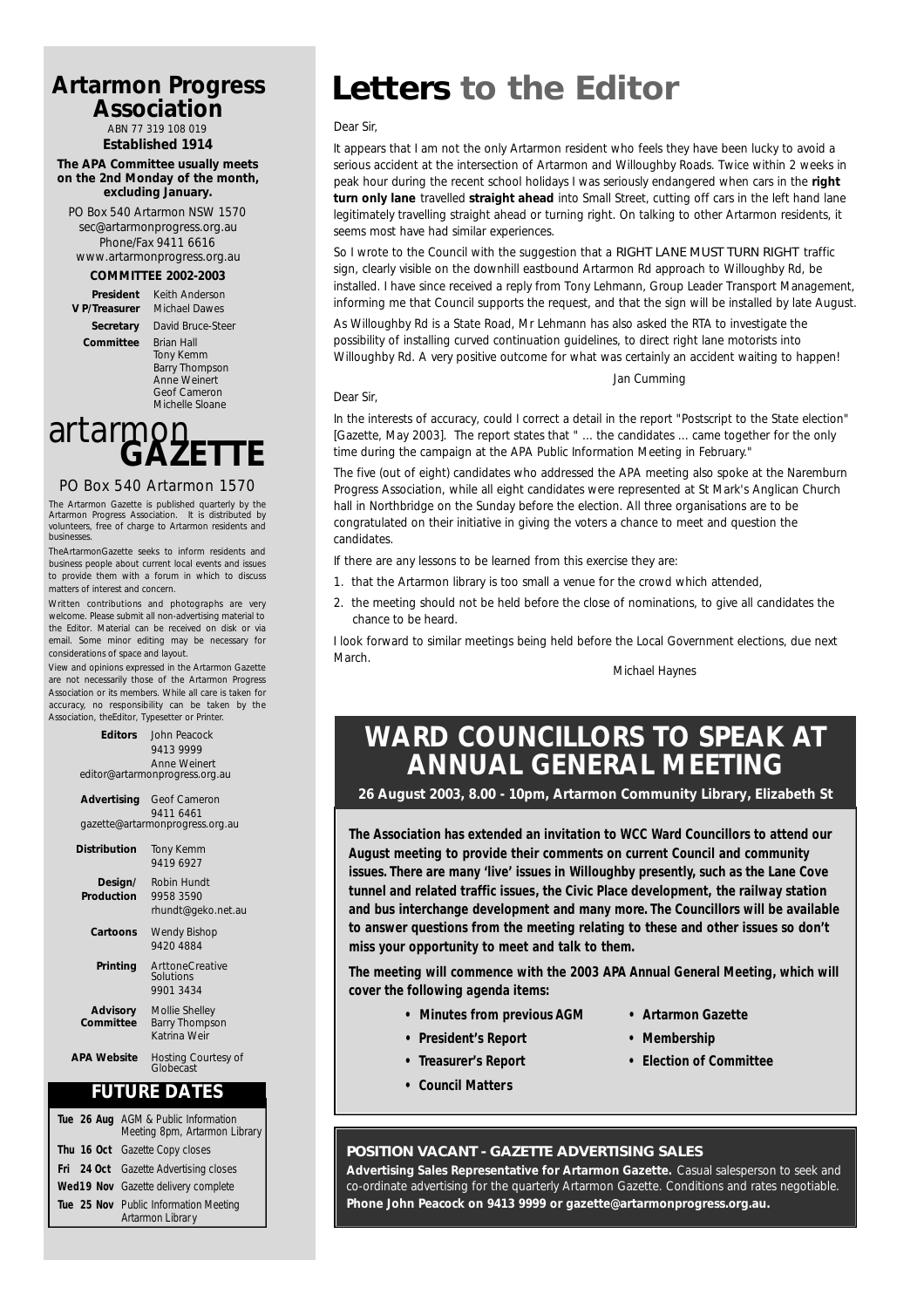#### **Artarmon Progress Association**

ABN 77 319 108 019

#### **Established 1914 The APA Committee usually meets on the 2nd Monday of the month, excluding January.**

PO Box 540 Artarmon NSW 1570 sec@artarmonprogress.org.au Phone/Fax 9411 6616 www.artarmonprogress.org.au

#### **COMMITTEE 2002-2003**

**President** Keith Anderson

**V P/Treasurer** Michael Dawes **Secretary** David Bruce-Steer **Committee** Brian Hall Tony Kemm Barry Thompson Anne Weinert Geof Cameron Michelle Sloane

artarmon<sub>ET</sub>

#### PO Box 540 Artarmon 1570

The Artarmon Gazette is published quarterly by the Artarmon Progress Association. It is distributed by volunteers, free of charge to Artarmon residents and businesses.

TheArtarmonGazette seeks to inform residents and business people about current local events and issues to provide them with a forum in which to discuss matters of interest and concern.

Written contributions and photographs are very welcome. Please submit all non-advertising material to the Editor. Material can be received on disk or via email. Some minor editing may be necessary for considerations of space and layout.

View and opinions expressed in the Artarmon Gazette are not necessarily those of the Artarmon Progress Association or its members. While all care is taken for accuracy, no responsibility can be taken by the Association, theEditor, Typesetter or Printer.

> **Editors** John Peacock 9413 9999 Anne Weinert editor@artarmonprogress.org.au

**Advertising** Geof Cameron 9411 6461 gazette@artarmonprogress.org.au

| Distribution                 | <b>Tony Kemm</b><br>9419 6927                           |
|------------------------------|---------------------------------------------------------|
| Design/<br>Production        | Robin Hundt<br>9958 3590<br>rhundt@geko.net.au          |
| Cartoons                     | Wendy Bishop<br>9420 4884                               |
| Printing                     | <b>ArttoneCreative</b><br>Solutions<br>9901 3434        |
| <b>Advisory</b><br>Committee | Mollie Shelley<br><b>Barry Thompson</b><br>Katrina Weir |
| <b>APA Website</b>           | Hosting Courtesy of<br>Globecast                        |
|                              |                                                         |

#### **FUTURE DATES**

| Tue 26 Aug AGM & Public Information<br>Meeting 8pm, Artarmon Library |
|----------------------------------------------------------------------|
| Thu 16 Oct Gazette Copy closes                                       |
| <b>Fri</b> 24 Oct Gazette Advertising closes                         |
| Wed19 Nov Gazette delivery complete                                  |
| Tue 25 Nov Public Information Meeting<br>Artarmon Librar y           |

## **Letters to the Editor**

#### *Dear Sir,*

*Dear Sir,*

*It appears that I am not the only Artarmon resident who feels they have been lucky to avoid a serious accident at the intersection of Artarmon and Willoughby Roads. Twice within 2 weeks in peak hour during the recent school holidays I was seriously endangered when cars in the right turn only lane travelled straight ahead into Small Street, cutting off cars in the left hand lane legitimately travelling straight ahead or turning right. On talking to other Artarmon residents, it seems most have had similar experiences.* 

*So I wrote to the Council with the suggestion that a RIGHT LANE MUST TURN RIGHT traffic sign, clearly visible on the downhill eastbound Artarmon Rd approach to Willoughby Rd, be installed. I have since received a reply from Tony Lehmann, Group Leader Transport Management, informing me that Council supports the request, and that the sign will be installed by late August.*

*As Willoughby Rd is a State Road, Mr Lehmann has also asked the RTA to investigate the possibility of installing curved continuation guidelines, to direct right lane motorists into Willoughby Rd. A very positive outcome for what was certainly an accident waiting to happen!*

*In the interests of accuracy, could I correct a detail in the report "Postscript to the State election" [Gazette, May 2003]. The report states that " ... the candidates ... came together for the only time during the campaign at the APA Public Information Meeting in February."*

*The five (out of eight) candidates who addressed the APA meeting also spoke at the Naremburn Progress Association, while all eight candidates were represented at St Mark's Anglican Church hall in Northbridge on the Sunday before the election. All three organisations are to be congratulated on their initiative in giving the voters a chance to meet and question the candidates.*

*If there are any lessons to be learned from this exercise they are:*

- *1. that the Artarmon library is too small a venue for the crowd which attended,*
- *2. the meeting should not be held before the close of nominations, to give all candidates the chance to be heard.*

*I look forward to similar meetings being held before the Local Government elections, due next March.*

*Michael Haynes*

*Jan Cumming*

### **WARD COUNCILLORS TO SPEAK AT ANNUAL GENERAL MEETING**

**26 August 2003, 8.00 - 10pm, Artarmon Community Library, Elizabeth St**

**The Association has extended an invitation to WCC Ward Councillors to attend our August meeting to provide their comments on current Council and community issues. There are many 'live' issues in Willoughby presently, such as the Lane Cove tunnel and related traffic issues, the Civic Place development, the railway station and bus interchange development and many more. The Councillors will be available to answer questions from the meeting relating to these and other issues so don't miss your opportunity to meet and talk to them.**

**The meeting will commence with the 2003 APA Annual General Meeting, which will cover the following agenda items:**

- **Minutes from previous AGM • Artarmon Gazette**
- **President's Report Membership**
- 
- **Council Matters**
- 
- 
- **Treasurer's Report Election of Committee**
- **POSITION VACANT GAZETTE ADVERTISING SALES**

**Advertising Sales Representative for Artarmon Gazette.** Casual salesperson to seek and co-ordinate advertising for the quarterly Artarmon Gazette. Conditions and rates negotiable. **Phone John Peacock on 9413 9999 or gazette@artarmonprogress.org.au.**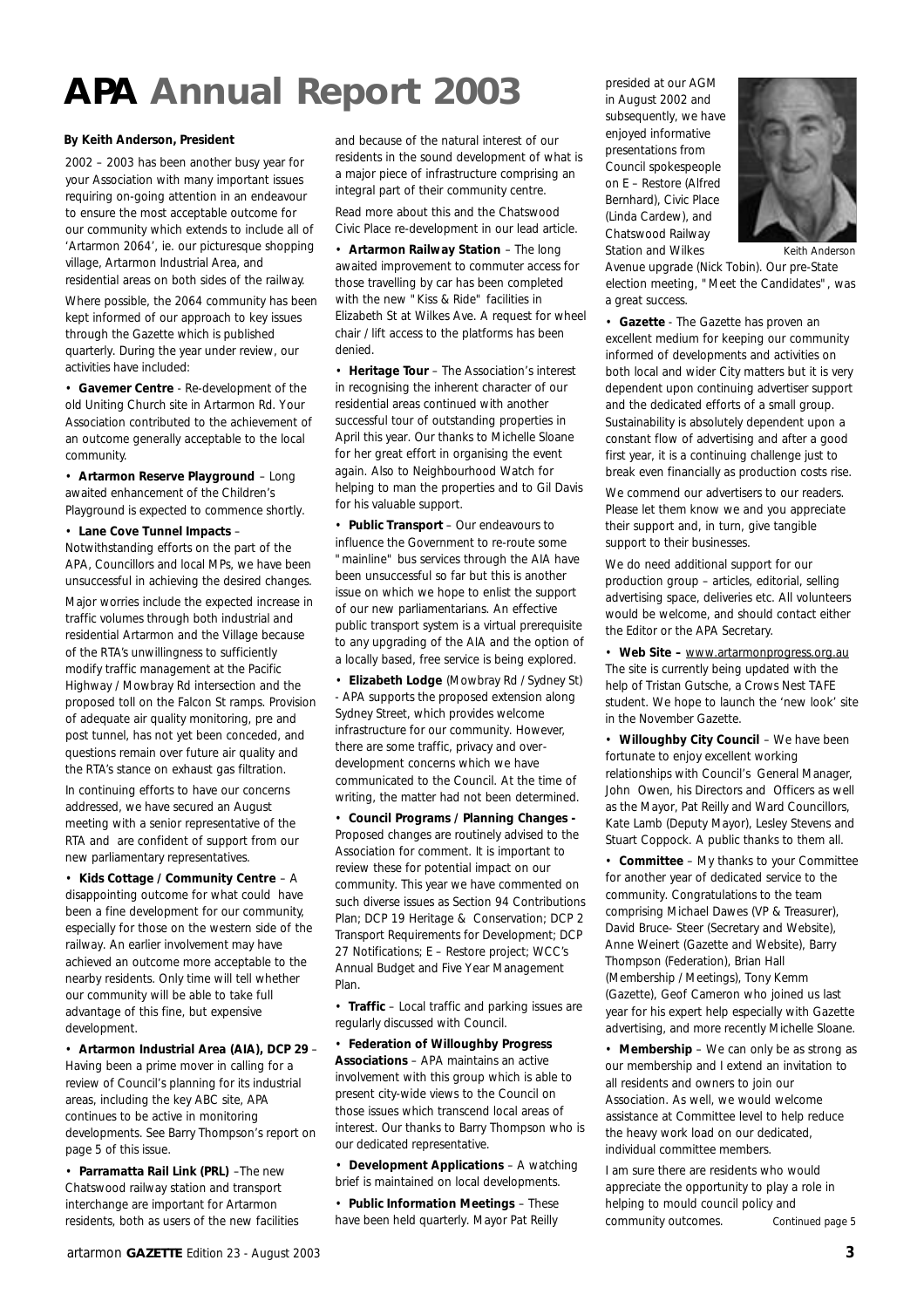## **APA Annual Report 2003**

#### **By Keith Anderson, President**

2002 – 2003 has been another busy year for your Association with many important issues requiring on-going attention in an endeavour to ensure the most acceptable outcome for our community which extends to include all of 'Artarmon 2064', ie. our picturesque shopping village, Artarmon Industrial Area, and residential areas on both sides of the railway.

Where possible, the 2064 community has been kept informed of our approach to key issues through the Gazette which is published quarterly. During the year under review, our activities have included:

• **Gavemer Centre** - Re-development of the old Uniting Church site in Artarmon Rd. Your Association contributed to the achievement of an outcome generally acceptable to the local community.

• **Artarmon Reserve Playground** – Long awaited enhancement of the Children's Playground is expected to commence shortly.

• **Lane Cove Tunnel Impacts** –

Notwithstanding efforts on the part of the APA, Councillors and local MPs, we have been unsuccessful in achieving the desired changes.

Major worries include the expected increase in traffic volumes through both industrial and residential Artarmon and the Village because of the RTA's unwillingness to sufficiently modify traffic management at the Pacific Highway / Mowbray Rd intersection and the proposed toll on the Falcon St ramps. Provision of adequate air quality monitoring, pre and post tunnel, has not yet been conceded, and questions remain over future air quality and the RTA's stance on exhaust gas filtration.

In continuing efforts to have our concerns addressed, we have secured an August meeting with a senior representative of the RTA and are confident of support from our new parliamentary representatives.

• **Kids Cottage / Community Centre** – A disappointing outcome for what could have been a fine development for our community, especially for those on the western side of the railway. An earlier involvement may have achieved an outcome more acceptable to the nearby residents. Only time will tell whether our community will be able to take full advantage of this fine, but expensive development.

• **Artarmon Industrial Area (AIA), DCP 29** – Having been a prime mover in calling for a review of Council's planning for its industrial areas, including the key ABC site, APA continues to be active in monitoring developments. See Barry Thompson's report on page 5 of this issue.

• **Parramatta Rail Link (PRL)** –The new Chatswood railway station and transport interchange are important for Artarmon residents, both as users of the new facilities and because of the natural interest of our residents in the sound development of what is a major piece of infrastructure comprising an integral part of their community centre.

Read more about this and the Chatswood Civic Place re-development in our lead article.

• **Artarmon Railway Station** – The long awaited improvement to commuter access for those travelling by car has been completed with the new "Kiss & Ride" facilities in Elizabeth St at Wilkes Ave. A request for wheel chair / lift access to the platforms has been denied.

• **Heritage Tour** – The Association's interest in recognising the inherent character of our residential areas continued with another successful tour of outstanding properties in April this year. Our thanks to Michelle Sloane for her great effort in organising the event again. Also to Neighbourhood Watch for helping to man the properties and to Gil Davis for his valuable support.

• **Public Transport** – Our endeavours to influence the Government to re-route some "mainline" bus services through the AIA have been unsuccessful so far but this is another issue on which we hope to enlist the support of our new parliamentarians. An effective public transport system is a virtual prerequisite to any upgrading of the AIA and the option of a locally based, free service is being explored.

• **Elizabeth Lodge** (Mowbray Rd / Sydney St) - APA supports the proposed extension along Sydney Street, which provides welcome infrastructure for our community. However, there are some traffic, privacy and overdevelopment concerns which we have communicated to the Council. At the time of writing, the matter had not been determined.

• **Council Programs / Planning Changes -** Proposed changes are routinely advised to the Association for comment. It is important to review these for potential impact on our community. This year we have commented on such diverse issues as Section 94 Contributions Plan; DCP 19 Heritage & Conservation; DCP 2 Transport Requirements for Development; DCP 27 Notifications; E – Restore project; WCC's Annual Budget and Five Year Management Plan.

• **Traffic** – Local traffic and parking issues are regularly discussed with Council.

• **Federation of Willoughby Progress Associations** – APA maintains an active involvement with this group which is able to present city-wide views to the Council on those issues which transcend local areas of interest. Our thanks to Barry Thompson who is our dedicated representative.

• **Development Applications** – A watching brief is maintained on local developments.

• **Public Information Meetings** – These have been held quarterly. Mayor Pat Reilly

presided at our AGM in August 2002 and subsequently, we have enjoyed informative presentations from Council spokespeople on E – Restore (Alfred Bernhard), Civic Place (Linda Cardew), and Chatswood Railway Station and Wilkes



Avenue upgrade (Nick Tobin). Our pre-State election meeting, "Meet the Candidates", was a great success.

• **Gazette** - The Gazette has proven an excellent medium for keeping our community informed of developments and activities on both local and wider City matters but it is very dependent upon continuing advertiser support and the dedicated efforts of a small group. Sustainability is absolutely dependent upon a constant flow of advertising and after a good first year, it is a continuing challenge just to break even financially as production costs rise.

We commend our advertisers to our readers. Please let them know we and you appreciate their support and, in turn, give tangible support to their businesses.

We do need additional support for our production group – articles, editorial, selling advertising space, deliveries etc. All volunteers would be welcome, and should contact either the Editor or the APA Secretary.

• **Web Site –** www.artarmonprogress.org.au The site is currently being updated with the help of Tristan Gutsche, a Crows Nest TAFE student. We hope to launch the 'new look' site in the November Gazette.

• **Willoughby City Council** – We have been fortunate to enjoy excellent working relationships with Council's General Manager, John Owen, his Directors and Officers as well as the Mayor, Pat Reilly and Ward Councillors, Kate Lamb (Deputy Mayor), Lesley Stevens and Stuart Coppock. A public thanks to them all.

• **Committee** – My thanks to your Committee for another year of dedicated service to the community. Congratulations to the team comprising Michael Dawes (VP & Treasurer), David Bruce- Steer (Secretary and Website), Anne Weinert (Gazette and Website), Barry Thompson (Federation), Brian Hall (Membership / Meetings), Tony Kemm (Gazette), Geof Cameron who joined us last year for his expert help especially with Gazette advertising, and more recently Michelle Sloane.

• **Membership** – We can only be as strong as our membership and I extend an invitation to all residents and owners to join our Association. As well, we would welcome assistance at Committee level to help reduce the heavy work load on our dedicated, individual committee members.

I am sure there are residents who would appreciate the opportunity to play a role in helping to mould council policy and community outcomes. *Continued page 5*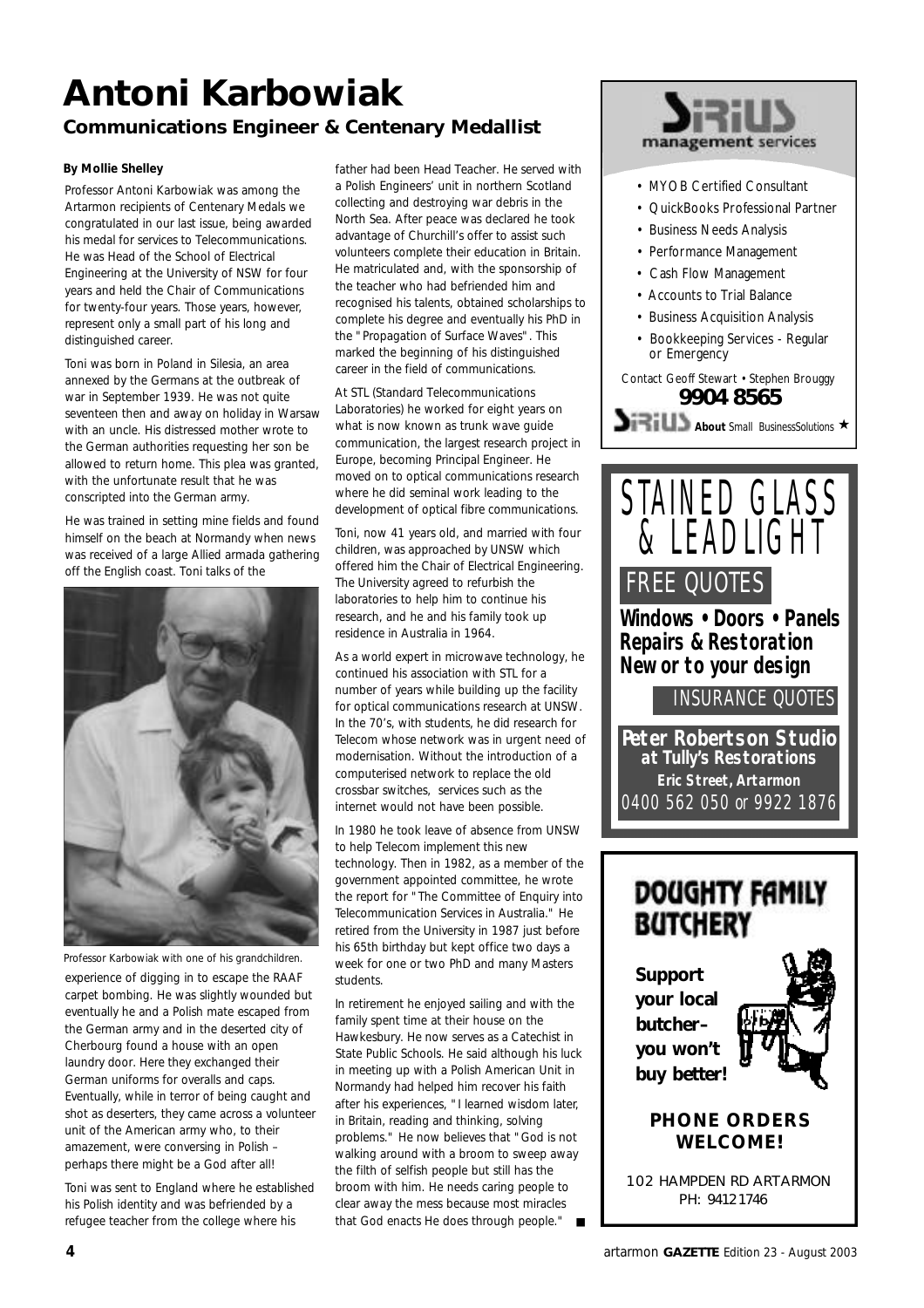# **Antoni Karbowiak**

### **Communications Engineer & Centenary Medallist**

#### **By Mollie Shelley**

Professor Antoni Karbowiak was among the Artarmon recipients of Centenary Medals we congratulated in our last issue, being awarded his medal for services to Telecommunications. He was Head of the School of Electrical Engineering at the University of NSW for four years and held the Chair of Communications for twenty-four years. Those years, however, represent only a small part of his long and distinguished career.

Toni was born in Poland in Silesia, an area annexed by the Germans at the outbreak of war in September 1939. He was not quite seventeen then and away on holiday in Warsaw with an uncle. His distressed mother wrote to the German authorities requesting her son be allowed to return home. This plea was granted, with the unfortunate result that he was conscripted into the German army.

He was trained in setting mine fields and found himself on the beach at Normandy when news was received of a large Allied armada gathering off the English coast. Toni talks of the



experience of digging in to escape the RAAF carpet bombing. He was slightly wounded but eventually he and a Polish mate escaped from the German army and in the deserted city of Cherbourg found a house with an open laundry door. Here they exchanged their German uniforms for overalls and caps. Eventually, while in terror of being caught and shot as deserters, they came across a volunteer unit of the American army who, to their amazement, were conversing in Polish – perhaps there might be a God after all! *Professor Karbowiak with one of his grandchildren.*

Toni was sent to England where he established his Polish identity and was befriended by a refugee teacher from the college where his

father had been Head Teacher. He served with a Polish Engineers' unit in northern Scotland collecting and destroying war debris in the North Sea. After peace was declared he took advantage of Churchill's offer to assist such volunteers complete their education in Britain. He matriculated and, with the sponsorship of the teacher who had befriended him and recognised his talents, obtained scholarships to complete his degree and eventually his PhD in the "Propagation of Surface Waves". This marked the beginning of his distinguished career in the field of communications.

At STL (Standard Telecommunications Laboratories) he worked for eight years on what is now known as trunk wave guide communication, the largest research project in Europe, becoming Principal Engineer. He moved on to optical communications research where he did seminal work leading to the development of optical fibre communications.

Toni, now 41 years old, and married with four children, was approached by UNSW which offered him the Chair of Electrical Engineering. The University agreed to refurbish the laboratories to help him to continue his research, and he and his family took up residence in Australia in 1964.

As a world expert in microwave technology, he continued his association with STL for a number of years while building up the facility for optical communications research at UNSW. In the 70's, with students, he did research for Telecom whose network was in urgent need of modernisation. Without the introduction of a computerised network to replace the old crossbar switches, services such as the internet would not have been possible.

In 1980 he took leave of absence from UNSW to help Telecom implement this new technology. Then in 1982, as a member of the government appointed committee, he wrote the report for "The Committee of Enquiry into Telecommunication Services in Australia." He retired from the University in 1987 just before his 65th birthday but kept office two days a week for one or two PhD and many Masters students.

In retirement he enjoyed sailing and with the family spent time at their house on the Hawkesbury. He now serves as a Catechist in State Public Schools. He said although his luck in meeting up with a Polish American Unit in Normandy had helped him recover his faith after his experiences, "I learned wisdom later, in Britain, reading and thinking, solving problems." He now believes that "God is not walking around with a broom to sweep away the filth of selfish people but still has the broom with him. He needs caring people to clear away the mess because most miracles that God enacts He does through people."



- MYOB Certified Consultant
- QuickBooks Professional Partner
- Business Needs Analysis
- Performance Management
- Cash Flow Management
- Accounts to Trial Balance
- Business Acquisition Analysis
- Bookkeeping Services Regular or Emergency

#### Contact Geoff Stewart • Stephen Brouggy **9904 8565**





### DOUGHTY FAMILY **BUTCHERY**

**Support your local butcher– you won't buy better!**



#### **PHONE ORDERS WELCOME!**

102 HAMPDEN RD ARTARMON PH: 9412 1746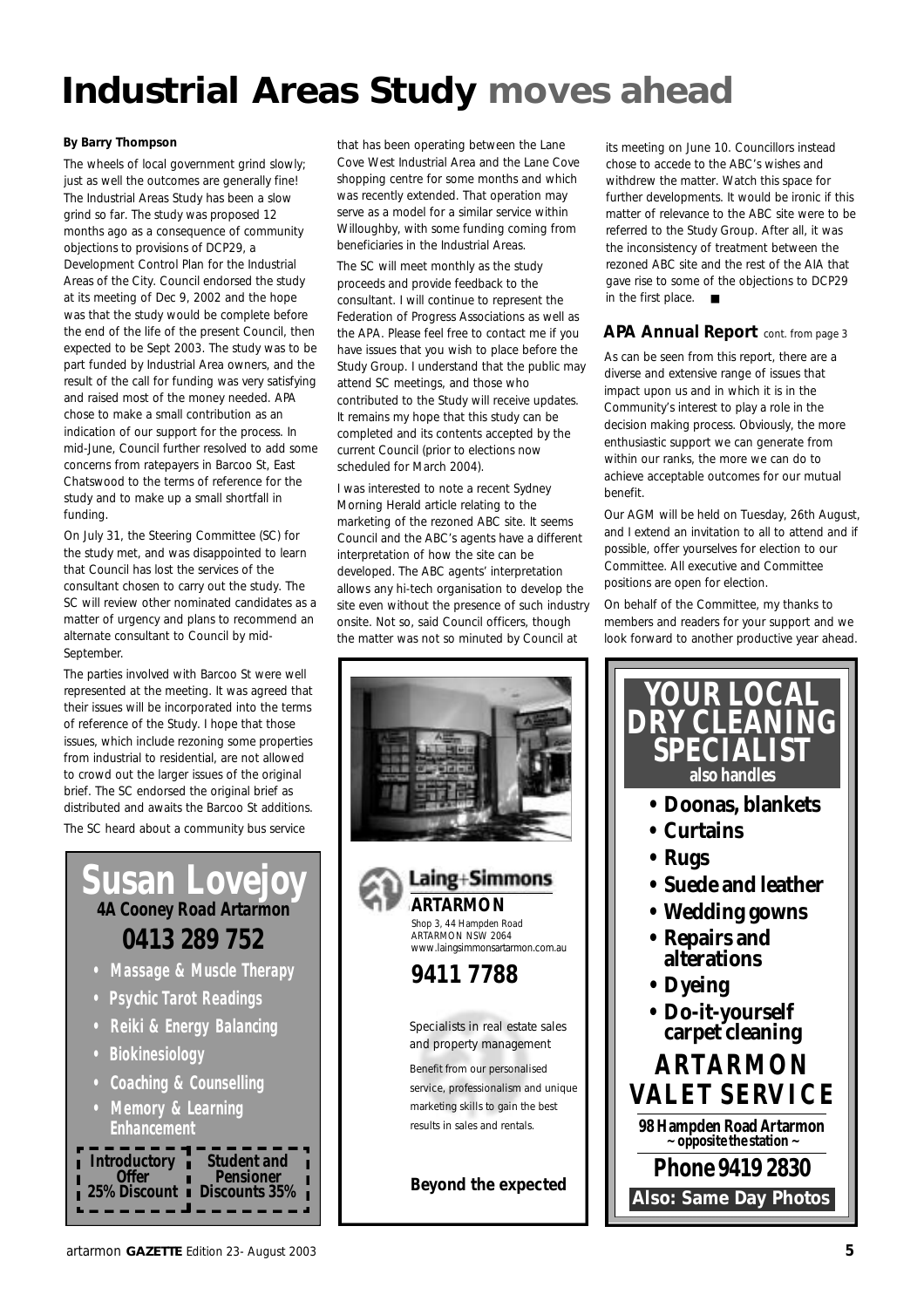## **Industrial Areas Study moves ahead**

The wheels of local government grind slowly; just as well the outcomes are generally fine! The Industrial Areas Study has been a slow grind so far. The study was proposed 12 months ago as a consequence of community objections to provisions of DCP29, a Development Control Plan for the Industrial Areas of the City. Council endorsed the study at its meeting of Dec 9, 2002 and the hope was that the study would be complete before the end of the life of the present Council, then expected to be Sept 2003. The study was to be part funded by Industrial Area owners, and the result of the call for funding was very satisfying and raised most of the money needed. APA chose to make a small contribution as an indication of our support for the process. In mid-June, Council further resolved to add some concerns from ratepayers in Barcoo St, East Chatswood to the terms of reference for the study and to make up a small shortfall in funding.

On July 31, the Steering Committee (SC) for the study met, and was disappointed to learn that Council has lost the services of the consultant chosen to carry out the study. The SC will review other nominated candidates as a matter of urgency and plans to recommend an alternate consultant to Council by mid-September.

The parties involved with Barcoo St were well represented at the meeting. It was agreed that their issues will be incorporated into the terms of reference of the Study. I hope that those issues, which include rezoning some properties from industrial to residential, are not allowed to crowd out the larger issues of the original brief. The SC endorsed the original brief as distributed and awaits the Barcoo St additions. The SC heard about a community bus service

### **Susan Lovejo 4A Cooney Road Artarmon 0413 289 752**

- **Massage & Muscle Therapy**
- **Psychic Tarot Readings**
- **Reiki & Energy Balancing**
- **Biokinesiology**
- **Coaching & Counselling**
- **Memory & Learning Enhancement**



By Barry Thompson **By Barry Thompson** that has been operating between the Lane Cove West Industrial Area and the Lane Cove shopping centre for some months and which was recently extended. That operation may serve as a model for a similar service within Willoughby, with some funding coming from beneficiaries in the Industrial Areas.

> The SC will meet monthly as the study proceeds and provide feedback to the consultant. I will continue to represent the Federation of Progress Associations as well as the APA. Please feel free to contact me if you have issues that you wish to place before the Study Group. I understand that the public may attend SC meetings, and those who contributed to the Study will receive updates. It remains my hope that this study can be completed and its contents accepted by the current Council (prior to elections now scheduled for March 2004).

I was interested to note a recent Sydney Morning Herald article relating to the marketing of the rezoned ABC site. It seems Council and the ABC's agents have a different interpretation of how the site can be developed. The ABC agents' interpretation allows any hi-tech organisation to develop the site even without the presence of such industry onsite. Not so, said Council officers, though the matter was not so minuted by Council at



its meeting on June 10. Councillors instead chose to accede to the ABC's wishes and withdrew the matter. Watch this space for further developments. It would be ironic if this matter of relevance to the ABC site were to be referred to the Study Group. After all, it was the inconsistency of treatment between the rezoned ABC site and the rest of the AIA that gave rise to some of the objections to DCP29 in the first place. ■

#### **APA Annual Report** *cont. from page 3*

As can be seen from this report, there are a diverse and extensive range of issues that impact upon us and in which it is in the Community's interest to play a role in the decision making process. Obviously, the more enthusiastic support we can generate from within our ranks, the more we can do to achieve acceptable outcomes for our mutual benefit.

Our AGM will be held on Tuesday, 26th August, and I extend an invitation to all to attend and if possible, offer yourselves for election to our Committee. All executive and Committee positions are open for election.

On behalf of the Committee, my thanks to members and readers for your support and we look forward to another productive year ahead.

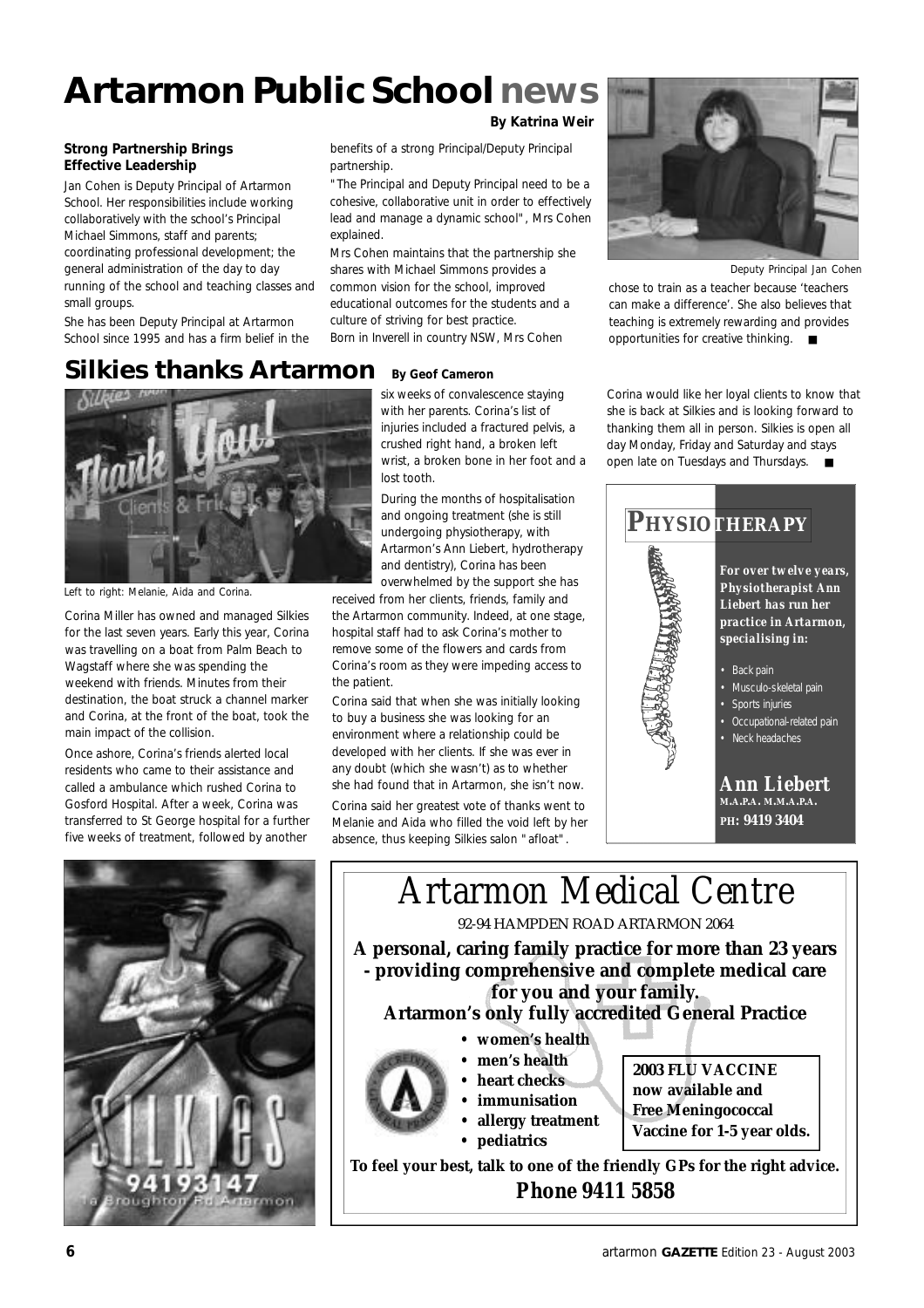## **Artarmon Public Schoolnews**

#### **Strong Partnership Brings Effective Leadership**

Jan Cohen is Deputy Principal of Artarmon School. Her responsibilities include working collaboratively with the school's Principal Michael Simmons, staff and parents; coordinating professional development; the general administration of the day to day running of the school and teaching classes and small groups.

She has been Deputy Principal at Artarmon School since 1995 and has a firm belief in the

#### **By Katrina Weir**

benefits of a strong Principal/Deputy Principal partnership.

"The Principal and Deputy Principal need to be a cohesive, collaborative unit in order to effectively lead and manage a dynamic school", Mrs Cohen explained.

Mrs Cohen maintains that the partnership she shares with Michael Simmons provides a common vision for the school, improved educational outcomes for the students and a culture of striving for best practice. Born in Inverell in country NSW, Mrs Cohen

*Deputy Principal Jan Cohen*

chose to train as a teacher because 'teachers can make a difference'. She also believes that teaching is extremely rewarding and provides opportunities for creative thinking. ■

#### **Silkies thanks Artarmon By Geof Cameron**



*Left to right: Melanie, Aida and Corina.*

Corina Miller has owned and managed Silkies for the last seven years. Early this year, Corina was travelling on a boat from Palm Beach to Wagstaff where she was spending the weekend with friends. Minutes from their destination, the boat struck a channel marker and Corina, at the front of the boat, took the main impact of the collision.

Once ashore, Corina's friends alerted local residents who came to their assistance and called a ambulance which rushed Corina to Gosford Hospital. After a week, Corina was transferred to St George hospital for a further five weeks of treatment, followed by another



six weeks of convalescence staying with her parents. Corina's list of injuries included a fractured pelvis, a crushed right hand, a broken left wrist, a broken bone in her foot and a lost tooth.

During the months of hospitalisation and ongoing treatment (she is still undergoing physiotherapy, with Artarmon's Ann Liebert, hydrotherapy and dentistry), Corina has been overwhelmed by the support she has

received from her clients, friends, family and the Artarmon community. Indeed, at one stage, hospital staff had to ask Corina's mother to remove some of the flowers and cards from Corina's room as they were impeding access to the patient.

Corina said that when she was initially looking to buy a business she was looking for an environment where a relationship could be developed with her clients. If she was ever in any doubt (which she wasn't) as to whether she had found that in Artarmon, she isn't now.

Corina said her greatest vote of thanks went to Melanie and Aida who filled the void left by her absence, thus keeping Silkies salon "afloat".

Corina would like her loyal clients to know that she is back at Silkies and is looking forward to thanking them all in person. Silkies is open all day Monday, Friday and Saturday and stays open late on Tuesdays and Thursdays. ■



### **Artarmon's only fully accredited General Practice**



- **women's health**
- **men's health**
- **heart checks**
- **immunisation**
- **allergy treatment • pediatrics**
- **2003 FLU VACCINE now available and Free Meningococcal Vaccine for 1-5 year olds.**

**To feel your best, talk to one of the friendly GPs for the right advice.** *Phone 9411 5858*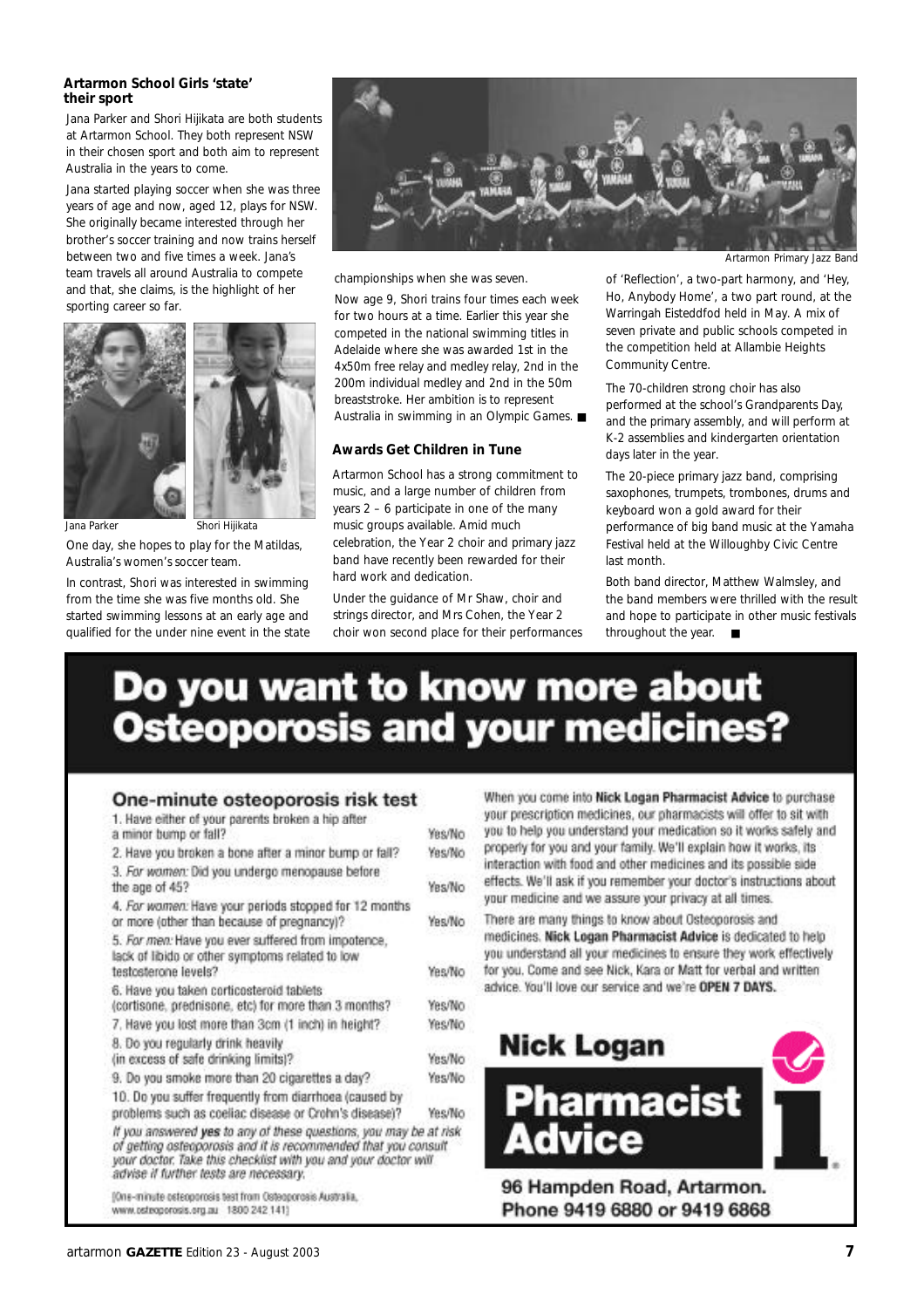#### **Artarmon School Girls 'state' their sport**

Jana Parker and Shori Hijikata are both students at Artarmon School. They both represent NSW in their chosen sport and both aim to represent Australia in the years to come.

Jana started playing soccer when she was three years of age and now, aged 12, plays for NSW. She originally became interested through her brother's soccer training and now trains herself between two and five times a week. Jana's team travels all around Australia to compete and that, she claims, is the highlight of her sporting career so far.





One day, she hopes to play for the Matildas, Australia's women's soccer team.

In contrast, Shori was interested in swimming from the time she was five months old. She started swimming lessons at an early age and qualified for the under nine event in the state



championships when she was seven.

Now age 9, Shori trains four times each week for two hours at a time. Earlier this year she competed in the national swimming titles in Adelaide where she was awarded 1st in the 4x50m free relay and medley relay, 2nd in the 200m individual medley and 2nd in the 50m breaststroke. Her ambition is to represent Australia in swimming in an Olympic Games. ■

#### **Awards Get Children in Tune**

Artarmon School has a strong commitment to music, and a large number of children from years 2 – 6 participate in one of the many music groups available. Amid much celebration, the Year 2 choir and primary jazz band have recently been rewarded for their hard work and dedication.

Under the guidance of Mr Shaw, choir and strings director, and Mrs Cohen, the Year 2 choir won second place for their performances

*Artarmon Primary Jazz Band*

of 'Reflection', a two-part harmony, and 'Hey, Ho, Anybody Home', a two part round, at the Warringah Eisteddfod held in May. A mix of seven private and public schools competed in the competition held at Allambie Heights Community Centre.

The 70-children strong choir has also performed at the school's Grandparents Day, and the primary assembly, and will perform at K-2 assemblies and kindergarten orientation days later in the year.

The 20-piece primary jazz band, comprising saxophones, trumpets, trombones, drums and keyboard won a gold award for their performance of big band music at the Yamaha Festival held at the Willoughby Civic Centre last month.

Both band director, Matthew Walmsley, and the band members were thrilled with the result and hope to participate in other music festivals throughout the year. ■

## Do you want to know more about **Osteoporosis and your medicines?**

#### One-minute osteoporosis risk test

| 1. Have either of your parents broken a hip after                                                                                                                                                                                               |        |
|-------------------------------------------------------------------------------------------------------------------------------------------------------------------------------------------------------------------------------------------------|--------|
| a minor bump or fall?                                                                                                                                                                                                                           | Yes/No |
| 2. Have you broken a bone after a minor bump or fall?                                                                                                                                                                                           | Yes/No |
| 3. For women: Did you undergo menopause before                                                                                                                                                                                                  |        |
| the age of 45?                                                                                                                                                                                                                                  | Yes/No |
| 4. For women: Have your periods stopped for 12 months                                                                                                                                                                                           |        |
| or more (other than because of pregnancy)?                                                                                                                                                                                                      | Yes/No |
| 5. For men: Have you ever suffered from impotence,<br>lack of libido or other symptoms related to low                                                                                                                                           |        |
| testosterone levels?                                                                                                                                                                                                                            | Yes/No |
| 6. Have you taken corticosteroid tablets                                                                                                                                                                                                        |        |
| (cortisone, prednisone, etc) for more than 3 months?                                                                                                                                                                                            | Yes/No |
| 7. Have you lost more than 3cm (1 inch) in height?                                                                                                                                                                                              | Yes/No |
| 8. Do you regularly drink heavily                                                                                                                                                                                                               |        |
| (in excess of safe drinking limits)?                                                                                                                                                                                                            | Yes/No |
| 9. Do you smoke more than 20 cigarettes a day?                                                                                                                                                                                                  | Yes/No |
| 10. Do you suffer frequently from diarrhoea (caused by                                                                                                                                                                                          |        |
| problems such as coeliac disease or Crohn's disease)?                                                                                                                                                                                           | Yes/No |
| If you answered yes to any of these questions, you may be at risk<br>of getting asteoporosis and it is recommended that you consult<br>your doctor. Take this checklist with you and your doctor will<br>advise if further tests are necessary. |        |
| (One-minute osteoporosis test from Osteoporosis Australia,                                                                                                                                                                                      |        |

www.pstropprosis.org.au 1800 242 1413

When you come into Nick Logan Pharmacist Advice to purchase your prescription medicines, our pharmacists will offer to sit with you to help you understand your medication so it works safely and properly for you and your family. We'll explain how it works, its interaction with food and other medicines and its possible side effects. We'll ask if you remember your doctor's instructions about your medicine and we assure your privacy at all times.

There are many things to know about Osteoporosis and medicines. Nick Logan Pharmacist Advice is dedicated to help you understand all your medicines to ensure they work effectively for you. Come and see Nick, Kara or Matt for verbal and written advice. You'll love our service and we're OPEN 7 DAYS.



Phone 9419 6880 or 9419 6868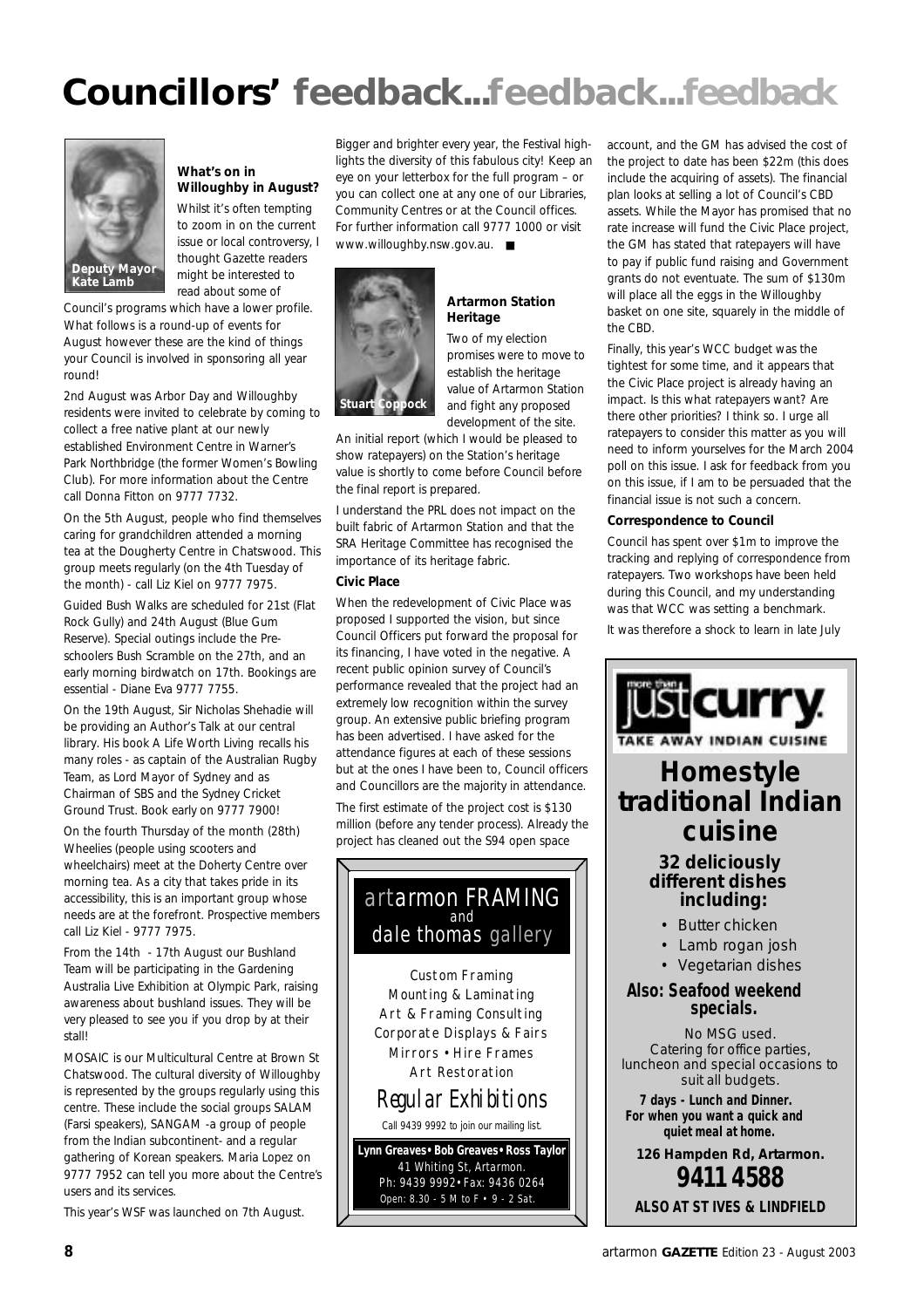## **Councillors' feedback...feedback...feedback**



#### **What's on in Willoughby in August?**

Whilst it's often tempting to zoom in on the current issue or local controversy, I thought Gazette readers might be interested to read about some of

Council's programs which have a lower profile. What follows is a round-up of events for August however these are the kind of things your Council is involved in sponsoring all year round!

2nd August was Arbor Day and Willoughby residents were invited to celebrate by coming to collect a free native plant at our newly established Environment Centre in Warner's Park Northbridge (the former Women's Bowling Club). For more information about the Centre call Donna Fitton on 9777 7732.

On the 5th August, people who find themselves caring for grandchildren attended a morning tea at the Dougherty Centre in Chatswood. This group meets regularly (on the 4th Tuesday of the month) - call Liz Kiel on 9777 7975.

Guided Bush Walks are scheduled for 21st (Flat Rock Gully) and 24th August (Blue Gum Reserve). Special outings include the Preschoolers Bush Scramble on the 27th, and an early morning birdwatch on 17th. Bookings are essential - Diane Eva 9777 7755.

On the 19th August, Sir Nicholas Shehadie will be providing an Author's Talk at our central library. His book *A Life Worth Living* recalls his many roles - as captain of the Australian Rugby Team, as Lord Mayor of Sydney and as Chairman of SBS and the Sydney Cricket Ground Trust. Book early on 9777 7900!

On the fourth Thursday of the month (28th) Wheelies (people using scooters and wheelchairs) meet at the Doherty Centre over morning tea. As a city that takes pride in its accessibility, this is an important group whose needs are at the forefront. Prospective members call Liz Kiel - 9777 7975.

From the 14th - 17th August our Bushland Team will be participating in the Gardening Australia Live Exhibition at Olympic Park, raising awareness about bushland issues. They will be very pleased to see you if you drop by at their stall!

MOSAIC is our Multicultural Centre at Brown St Chatswood. The cultural diversity of Willoughby is represented by the groups regularly using this centre. These include the social groups SALAM (Farsi speakers), SANGAM -a group of people from the Indian subcontinent- and a regular gathering of Korean speakers. Maria Lopez on 9777 7952 can tell you more about the Centre's users and its services.

This year's WSF was launched on 7th August.

Bigger and brighter every year, the Festival highlights the diversity of this fabulous city! Keep an eye on your letterbox for the full program – or you can collect one at any one of our Libraries, Community Centres or at the Council offices. For further information call 9777 1000 or visit www.willoughby.nsw.gov.au. ■



#### **Artarmon Station Heritage**

Two of my election promises were to move to establish the heritage value of Artarmon Station and fight any proposed development of the site.

An initial report (which I would be pleased to show ratepayers) on the Station's heritage value is shortly to come before Council before the final report is prepared.

I understand the PRL does not impact on the built fabric of Artarmon Station and that the SRA Heritage Committee has recognised the importance of its heritage fabric.

#### **Civic Place**

When the redevelopment of Civic Place was proposed I supported the vision, but since Council Officers put forward the proposal for its financing, I have voted in the negative. A recent public opinion survey of Council's performance revealed that the project had an extremely low recognition within the survey group. An extensive public briefing program has been advertised. I have asked for the attendance figures at each of these sessions but at the ones I have been to, Council officers and Councillors are the majority in attendance.

The first estimate of the project cost is \$130 million (before any tender process). Already the project has cleaned out the S94 open space

#### artarmon FRAMING and dale thomas gallery

Custom Framing Mounting & Laminating Art & Framing Consulting Corporate Displays & Fairs Mirrors • Hire Frames Art Restoration

Regular Exhibitions

Call 9439 9992 to join our mailing list.

Open: 8.30 - 5 M to F • 9 - 2 Sat. **Lynn Greaves•Bob Greaves•Ross Taylor** 41 Whiting St, Artarmon. Ph: 9439 9992•Fax: 9436 0264

account, and the GM has advised the cost of the project to date has been \$22m (this does include the acquiring of assets). The financial plan looks at selling a lot of Council's CBD assets. While the Mayor has promised that no rate increase will fund the Civic Place project, the GM has stated that ratepayers will have to pay if public fund raising and Government grants do not eventuate. The sum of \$130m will place all the eggs in the Willoughby basket on one site, squarely in the middle of the CBD.

Finally, this year's WCC budget was the tightest for some time, and it appears that the Civic Place project is already having an impact. Is this what ratepayers want? Are there other priorities? I think so. I urge all ratepayers to consider this matter as you will need to inform yourselves for the March 2004 poll on this issue. I ask for feedback from you on this issue, if I am to be persuaded that the financial issue is not such a concern.

#### **Correspondence to Council**

Council has spent over \$1m to improve the tracking and replying of correspondence from ratepayers. Two workshops have been held during this Council, and my understanding was that WCC was setting a benchmark.

It was therefore a shock to learn in late July



**9411 4588 ALSO AT ST IVES & LINDFIELD**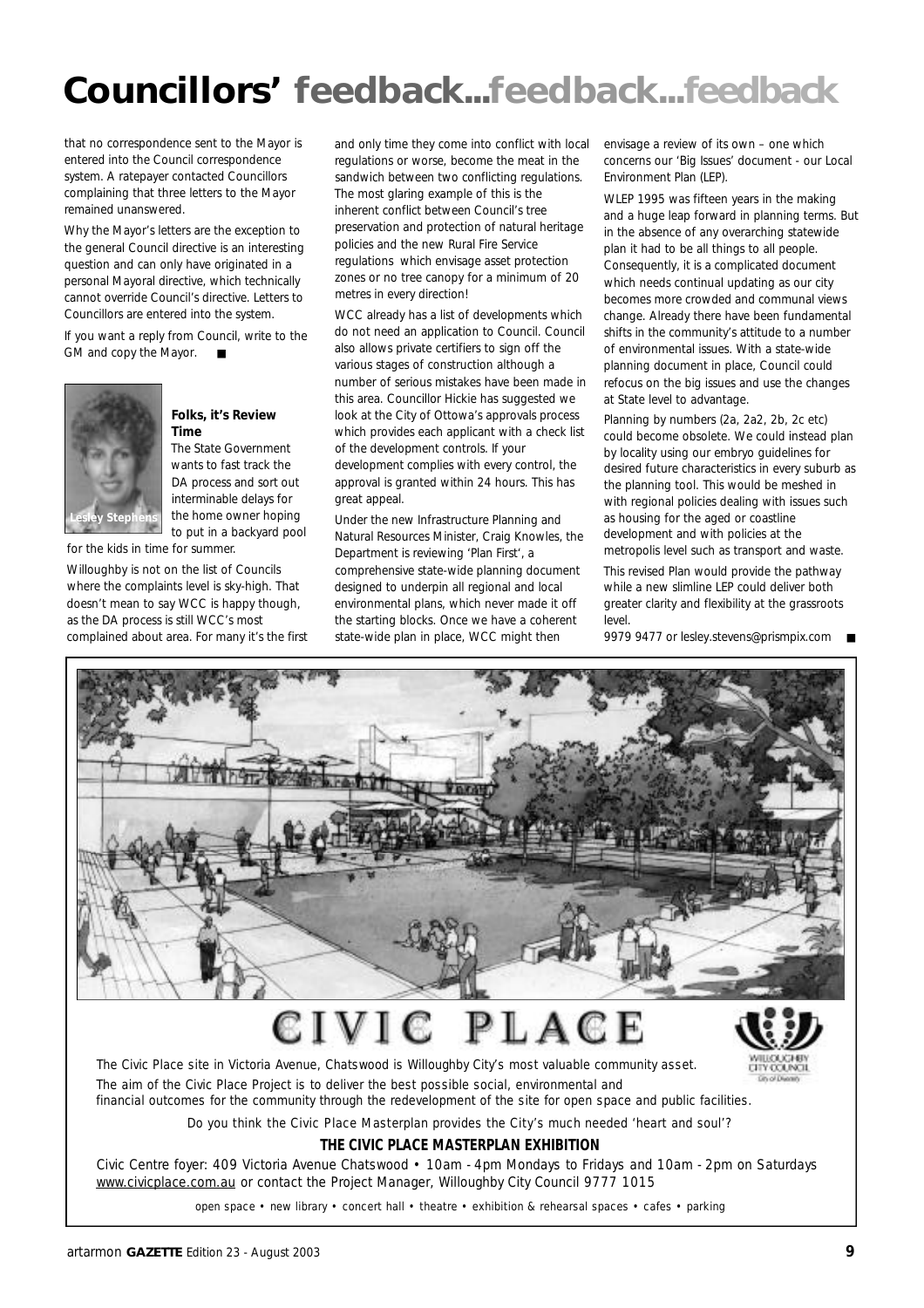## **Councillors' feedback...feedback...feedback**

that no correspondence sent to the Mayor is entered into the Council correspondence system. A ratepayer contacted Councillors complaining that three letters to the Mayor remained unanswered.

Why the Mayor's letters are the exception to the general Council directive is an interesting question and can only have originated in a personal Mayoral directive, which technically cannot override Council's directive. Letters to Councillors are entered into the system.

If you want a reply from Council, write to the GM and copy the Mayor. ■



#### **Folks, it's Review Time**

The State Government wants to fast track the DA process and sort out interminable delays for the home owner hoping to put in a backyard pool

for the kids in time for summer.

Willoughby is not on the list of Councils where the complaints level is sky-high. That doesn't mean to say WCC is happy though, as the DA process is still WCC's most complained about area. For many it's the first

and only time they come into conflict with local regulations or worse, become the meat in the sandwich between two conflicting regulations. The most glaring example of this is the inherent conflict between Council's tree preservation and protection of natural heritage policies and the new Rural Fire Service regulations which envisage asset protection zones or no tree canopy for a minimum of 20 metres in every direction!

WCC already has a list of developments which do not need an application to Council. Council also allows private certifiers to sign off the various stages of construction although a number of serious mistakes have been made in this area. Councillor Hickie has suggested we look at the City of Ottowa's approvals process which provides each applicant with a check list of the development controls. If your development complies with every control, the approval is granted within 24 hours. This has great appeal.

Under the new Infrastructure Planning and Natural Resources Minister, Craig Knowles, the Department is reviewing 'Plan First', a comprehensive state-wide planning document designed to underpin all regional and local environmental plans, which never made it off the starting blocks. Once we have a coherent state-wide plan in place, WCC might then

envisage a review of its own – one which concerns our 'Big Issues' document - our Local Environment Plan (LEP).

WLEP 1995 was fifteen years in the making and a huge leap forward in planning terms. But in the absence of any overarching statewide plan it had to be all things to all people. Consequently, it is a complicated document which needs continual updating as our city becomes more crowded and communal views change. Already there have been fundamental shifts in the community's attitude to a number of environmental issues. With a state-wide planning document in place, Council could refocus on the big issues and use the changes at State level to advantage.

Planning by numbers (2a, 2a2, 2b, 2c etc) could become obsolete. We could instead plan by locality using our embryo guidelines for desired future characteristics in every suburb as the planning tool. This would be meshed in with regional policies dealing with issues such as housing for the aged or coastline development and with policies at the metropolis level such as transport and waste.

This revised Plan would provide the pathway while a new slimline LEP could deliver both greater clarity and flexibility at the grassroots level.

9979 9477 or lesley.stevens@prismpix.com



### $c$ ivic LAC



The Civic Place site in Victoria Avenue, Chatswood is Willoughby City's most valuable community asset. The aim of the Civic Place Project is to deliver the best possible social, environmental and financial outcomes for the community through the redevelopment of the site for open space and public facilities.

Do you think the Civic Place Masterplan provides the City's much needed 'heart and soul'?

#### **THE CIVIC PLACE MASTERPLAN EXHIBITION**

Civic Centre foyer: 409 Victoria Avenue Chatswood • 10am - 4pm Mondays to Fridays and 10am - 2pm on Saturdays www.civicplace.com.au or contact the Project Manager, Willoughby City Council 9777 1015

open space • new library • concert hall • theatre • exhibition & rehearsal spaces • cafes • parking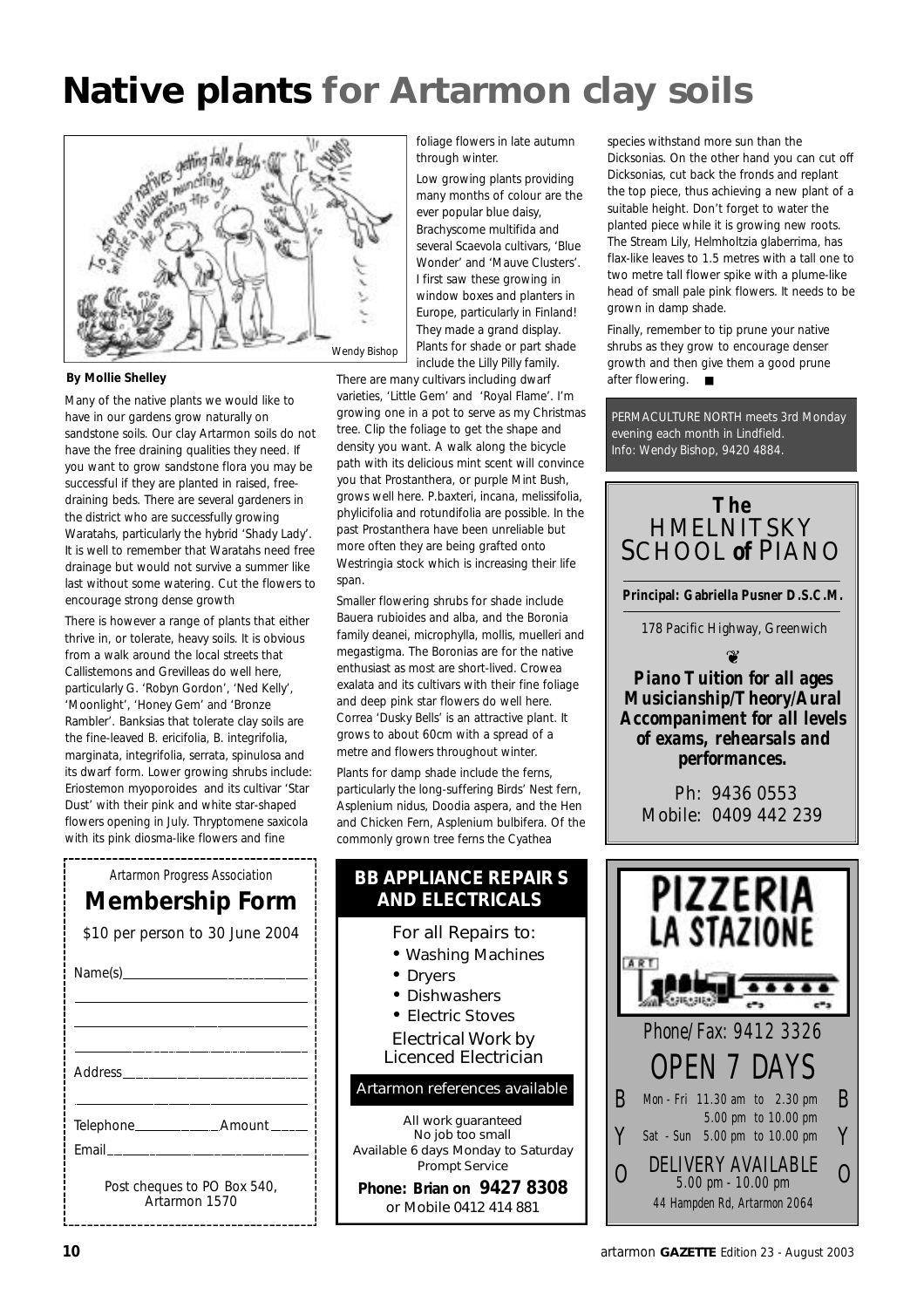## **Native plants for Artarmon clay soils**



#### **By Mollie Shelley**

Many of the native plants we would like to have in our gardens grow naturally on sandstone soils. Our clay Artarmon soils do not have the free draining qualities they need. If you want to grow sandstone flora you may be successful if they are planted in raised, freedraining beds. There are several gardeners in the district who are successfully growing Waratahs, particularly the hybrid 'Shady Lady'. It is well to remember that Waratahs need free drainage but would not survive a summer like last without some watering. Cut the flowers to encourage strong dense growth

There is however a range of plants that either thrive in, or tolerate, heavy soils. It is obvious from a walk around the local streets that Callistemons and Grevilleas do well here, particularly G. 'Robyn Gordon', 'Ned Kelly', 'Moonlight', 'Honey Gem' and 'Bronze Rambler'. Banksias that tolerate clay soils are the fine-leaved B. ericifolia, B. integrifolia, marginata, integrifolia, serrata, spinulosa and its dwarf form. Lower growing shrubs include: Eriostemon myoporoides and its cultivar 'Star Dust' with their pink and white star-shaped flowers opening in July. Thryptomene saxicola with its pink diosma-like flowers and fine

| Artarmon Progress Association   |
|---------------------------------|
| <b>Membership Form</b>          |
| \$10 per person to 30 June 2004 |

| Email <b>Email</b>                           |
|----------------------------------------------|
| Post cheques to PO Box 540,<br>Artarmon 1570 |

foliage flowers in late autumn through winter.

Low growing plants providing many months of colour are the ever popular blue daisy, Brachyscome multifida and several Scaevola cultivars, 'Blue Wonder' and 'Mauve Clusters'. I first saw these growing in window boxes and planters in Europe, particularly in Finland! They made a grand display. Plants for shade or part shade include the Lilly Pilly family.

There are many cultivars including dwarf varieties, 'Little Gem' and 'Royal Flame'. I'm growing one in a pot to serve as my Christmas tree. Clip the foliage to get the shape and density you want. A walk along the bicycle path with its delicious mint scent will convince you that Prostanthera, or purple Mint Bush, grows well here. P.baxteri, incana, melissifolia, phylicifolia and rotundifolia are possible. In the past Prostanthera have been unreliable but more often they are being grafted onto Westringia stock which is increasing their life span.

Smaller flowering shrubs for shade include Bauera rubioides and alba, and the Boronia family deanei, microphylla, mollis, muelleri and megastigma. The Boronias are for the native enthusiast as most are short-lived. Crowea exalata and its cultivars with their fine foliage and deep pink star flowers do well here. Correa 'Dusky Bells' is an attractive plant. It grows to about 60cm with a spread of a metre and flowers throughout winter.

Plants for damp shade include the ferns, particularly the long-suffering Birds' Nest fern, Asplenium nidus, Doodia aspera, and the Hen and Chicken Fern, Asplenium bulbifera. Of the commonly grown tree ferns the Cyathea

#### **BB APPLIANCE REPAIR S AND ELECTRICALS**

For all Repairs to:

- Washing Machines
- Dryers
- Dishwashers
- Electric Stoves

Electrical Work by Licenced Electrician

Artarmon references available

*All work guaranteed No job too small Available 6 days Monday to Saturday Prompt Service*

**Phone: Brian on 9427 8308** or Mobile 0412 414 881

species withstand more sun than the Dicksonias. On the other hand you can cut off Dicksonias, cut back the fronds and replant the top piece, thus achieving a new plant of a suitable height. Don't forget to water the planted piece while it is growing new roots. The Stream Lily, Helmholtzia glaberrima, has flax-like leaves to 1.5 metres with a tall one to two metre tall flower spike with a plume-like head of small pale pink flowers. It needs to be grown in damp shade.

Finally, remember to tip prune your native shrubs as they grow to encourage denser growth and then give them a good prune after flowering. ■

PERMACULTURE NORTH meets 3rd Monday evening each month in Lindfield. Info: Wendy Bishop, 9420 4884.

#### *The* **HMELNITSKY** SCHOOL *of* PIANO

**Principal: Gabriella Pusner D.S.C.M.**

178 Pacific Highway, Greenwich

 $\circledast$ 

*Piano Tuition for all ages Musicianship/Theory/Aural Accompaniment for all levels of exams, rehearsals and performances.*

Ph: 9436 0553 Mobile: 0409 442 239

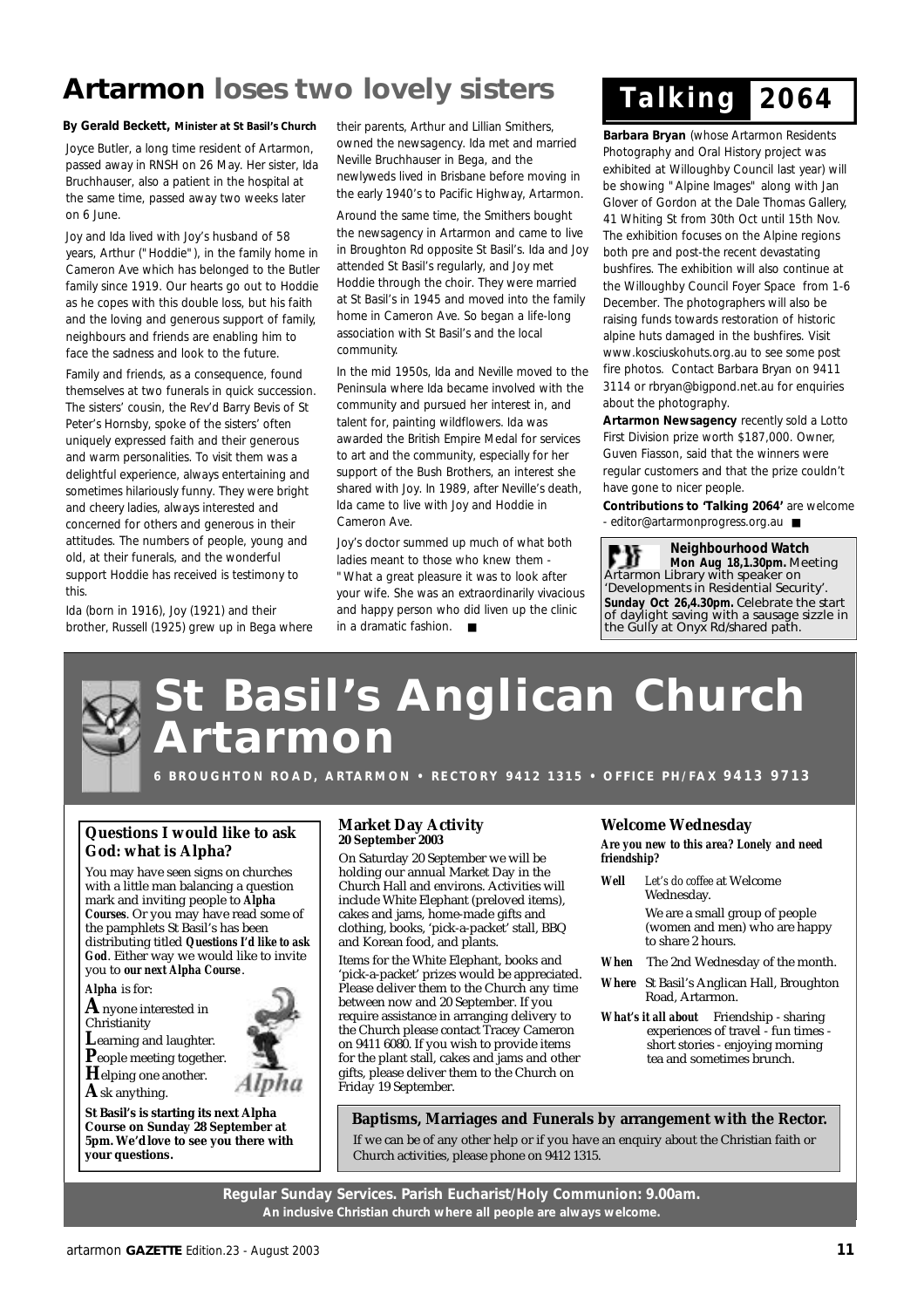### **Artarmon loses two lovely sisters**

#### **By Gerald Beckett, Minister at St Basil's Church** their parents, Arthur and Lillian Smithers,

Joyce Butler, a long time resident of Artarmon, passed away in RNSH on 26 May. Her sister, Ida Bruchhauser, also a patient in the hospital at the same time, passed away two weeks later on 6 June.

Joy and Ida lived with Joy's husband of 58 years, Arthur ("Hoddie"), in the family home in Cameron Ave which has belonged to the Butler family since 1919. Our hearts go out to Hoddie as he copes with this double loss, but his faith and the loving and generous support of family, neighbours and friends are enabling him to face the sadness and look to the future.

Family and friends, as a consequence, found themselves at two funerals in quick succession. The sisters' cousin, the Rev'd Barry Bevis of St Peter's Hornsby, spoke of the sisters' often uniquely expressed faith and their generous and warm personalities. To visit them was a delightful experience, always entertaining and sometimes hilariously funny. They were bright and cheery ladies, always interested and concerned for others and generous in their attitudes. The numbers of people, young and old, at their funerals, and the wonderful support Hoddie has received is testimony to this.

Ida (born in 1916), Joy (1921) and their brother, Russell (1925) grew up in Bega where owned the newsagency. Ida met and married Neville Bruchhauser in Bega, and the newlyweds lived in Brisbane before moving in the early 1940's to Pacific Highway, Artarmon.

Around the same time, the Smithers bought the newsagency in Artarmon and came to live in Broughton Rd opposite St Basil's. Ida and Joy attended St Basil's regularly, and Joy met Hoddie through the choir. They were married at St Basil's in 1945 and moved into the family home in Cameron Ave. So began a life-long association with St Basil's and the local community.

In the mid 1950s, Ida and Neville moved to the Peninsula where Ida became involved with the community and pursued her interest in, and talent for, painting wildflowers. Ida was awarded the British Empire Medal for services to art and the community, especially for her support of the Bush Brothers, an interest she shared with Joy. In 1989, after Neville's death, Ida came to live with Joy and Hoddie in Cameron Ave.

Joy's doctor summed up much of what both ladies meant to those who knew them - "What a great pleasure it was to look after your wife. She was an extraordinarily vivacious and happy person who did liven up the clinic in a dramatic fashion. ■

## *T a l k i n g 2 0 6 4*

**Barbara Bryan** (whose Artarmon Residents Photography and Oral History project was exhibited at Willoughby Council last year) will be showing "Alpine Images" along with Jan Glover of Gordon at the Dale Thomas Gallery, 41 Whiting St from 30th Oct until 15th Nov. The exhibition focuses on the Alpine regions both pre and post-the recent devastating bushfires. The exhibition will also continue at the Willoughby Council Foyer Space from 1-6 December. The photographers will also be raising funds towards restoration of historic alpine huts damaged in the bushfires. Visit www.kosciuskohuts.org.au to see some post fire photos. Contact Barbara Bryan on 9411 3114 or rbryan@bigpond.net.au for enquiries about the photography.

**Artarmon Newsagency** recently sold a Lotto First Division prize worth \$187,000. Owner, Guven Fiasson, said that the winners were regular customers and that the prize couldn't have gone to nicer people.

**Contributions to 'Talking 2064'** are welcome - editor@artarmonprogress.org.au ■

**Neighbourhood Watch** Γ₩ **Mon Aug 18,1.30pm.** Meeting Artarmon Library with speaker on 'Developments in Residential Security'. **Sunday Oct 26,4.30pm.** Celebrate the start of daylight saving with a sausage sizzle in the Gully at Onyx Rd/shared path.

## **St Basil's Anglican Church A r t a r m o n**

**6 B R O U G H T O N R O A D, A RTA R M O N • R E C T O R Y 9 4 1 2 1 3 1 5 • O F F I C E P H / FA X 9 4 1 3 9 7 1 3**

#### **Questions I would like to ask God: what is Alpha?**

You may have seen signs on churches with a little man balancing a question mark and inviting people to *Alpha Courses*. Or you may have read some of the pamphlets St Basil's has been distributing titled *Questions I'd like to ask God*. Either way we would like to invite you to *our next Alpha Course*.

*Alpha* is for:

**A**nyone interested in Christianity

- **L**earning and laughter.
- **P**eople meeting together.
- **H**elping one another. **A**sk anything.

**St Basil's is starting its next Alpha Course on Sunday 28 September at 5pm. We'd love to see you there with your questions.**

#### **Market Day Activity 20 September 2003**

On Saturday 20 September we will be holding our annual Market Day in the Church Hall and environs. Activities will include White Elephant (preloved items), cakes and jams, home-made gifts and clothing, books, 'pick-a-packet' stall, BBQ and Korean food, and plants.

Items for the White Elephant, books and 'pick-a-packet' prizes would be appreciated. Please deliver them to the Church any time between now and 20 September. If you require assistance in arranging delivery to the Church please contact Tracey Cameron on 9411 6080. If you wish to provide items for the plant stall, cakes and jams and other gifts, please deliver them to the Church on Friday 19 September.

#### **Welcome Wednesday**

*Are you new to this area? Lonely and need friendship?*

- *Well Let's do coffee* at Welcome Wednesday. We are a small group of people (women and men) who are happy to share 2 hours.
- *When* The 2nd Wednesday of the month.
- *Where* St Basil's Anglican Hall, Broughton Road, Artarmon.
- *What's it all about* Friendship sharing experiences of travel - fun times short stories - enjoying morning tea and sometimes brunch.

**Baptisms, Marriages and Funerals by arrangement with the Rector.**

If we can be of any other help or if you have an enquiry about the Christian faith or Church activities, please phone on 9412 1315.

**Regular Sunday Services. Parish Eucharist/Holy Communion: 9.00am. An inclusive Christian church where all people are always welcome.**